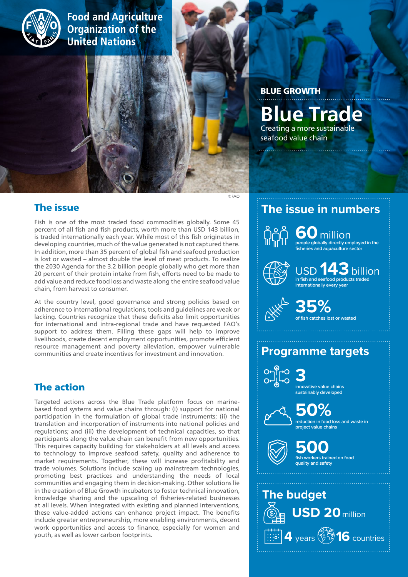

**Food and Agriculture Organization of the United Nations** 

### BLUE GROWTH

**Blue Trade** Creating a more sustainable seafood value chain

### The issue

Fish is one of the most traded food commodities globally. Some 45 percent of all fish and fish products, worth more than USD 143 billion, is traded internationally each year. While most of this fish originates in developing countries, much of the value generated is not captured there. In addition, more than 35 percent of global fish and seafood production is lost or wasted – almost double the level of meat products. To realize the 2030 Agenda for the 3.2 billion people globally who get more than 20 percent of their protein intake from fish, efforts need to be made to add value and reduce food loss and waste along the entire seafood value chain, from harvest to consumer.

At the country level, good governance and strong policies based on adherence to international regulations, tools and guidelines are weak or lacking. Countries recognize that these deficits also limit opportunities for international and intra-regional trade and have requested FAO's support to address them. Filling these gaps will help to improve livelihoods, create decent employment opportunities, promote efficient resource management and poverty alleviation, empower vulnerable communities and create incentives for investment and innovation.

### The action

Targeted actions across the Blue Trade platform focus on marinebased food systems and value chains through: (i) support for national participation in the formulation of global trade instruments; (ii) the translation and incorporation of instruments into national policies and regulations; and (iii) the development of technical capacities, so that participants along the value chain can benefit from new opportunities. This requires capacity building for stakeholders at all levels and access to technology to improve seafood safety, quality and adherence to market requirements. Together, these will increase profitability and trade volumes. Solutions include scaling up mainstream technologies, promoting best practices and understanding the needs of local communities and engaging them in decision-making. Other solutions lie in the creation of Blue Growth incubators to foster technical innovation, knowledge sharing and the upscaling of fisheries-related businesses at all levels. When integrated with existing and planned interventions, these value-added actions can enhance project impact. The benefits include greater entrepreneurship, more enabling environments, decent work opportunities and access to finance, especially for women and youth, as well as lower carbon footprints.

# **The issue in numbers**



©FAO

**people globally directly employed in the fisheries and aquaculture sector 60** million



### **in fish and seafood products trade internationally every year** USD **143**billion

**of fish catches lost or wasted 35%**

# **Programme targets**



**3**<br>**innovative value chains sustainably developed**



**50%**<br>reduction in food loss and waste in **project value chains**



**500**<br>**fish workers trained on food quality and safety**